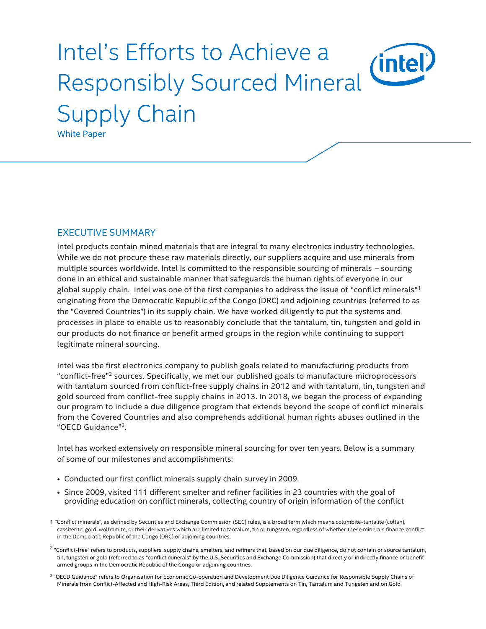# Intel's Efforts to Achieve a *(*intel Responsibly Sourced Mineral Supply Chain White Paper

#### EXECUTIVE SUMMARY

Intel products contain mined materials that are integral to many electronics industry technologies. While we do not procure these raw materials directly, our suppliers acquire and use minerals from multiple sources worldwide. Intel is committed to the responsible sourcing of minerals – sourcing done in an ethical and sustainable manner that safeguards the human rights of everyone in our global supply chain. Intel was one of the first companies to address the issue of "conflict minerals"<sup>1</sup> originating from the Democratic Republic of the Congo (DRC) and adjoining countries (referred to as the "Covered Countries") in its supply chain. We have worked diligently to put the systems and processes in place to enable us to reasonably conclude that the tantalum, tin, tungsten and gold in our products do not finance or benefit armed groups in the region while continuing to support legitimate mineral sourcing.

Intel was the first electronics company to publish goals related to manufacturing products from "conflict-free" <sup>2</sup> sources. Specifically, we met our published goals to manufacture microprocessors with tantalum sourced from conflict-free supply chains in 2012 and with tantalum, tin, tungsten and gold sourced from conflict-free supply chains in 2013. In 2018, we began the process of expanding our program to include a due diligence program that extends beyond the scope of conflict minerals from the Covered Countries and also comprehends additional human rights abuses outlined in the "OECD Guidance"<sup>3</sup> .

Intel has worked extensively on responsible mineral sourcing for over ten years. Below is a summary of some of our milestones and accomplishments:

- Conducted our first conflict minerals supply chain survey in 2009.
- Since 2009, visited 111 different smelter and refiner facilities in 23 countries with the goal of providing education on conflict minerals, collecting country of origin information of the conflict

- <sup>2</sup> "Conflict-free" refers to products, suppliers, supply chains, smelters, and refiners that, based on our due diligence, do not contain or source tantalum, tin, tungsten or gold (referred to as "conflict minerals" by the U.S. Securities and Exchange Commission) that directly or indirectly finance or benefit armed groups in the Democratic Republic of the Congo or adjoining countries.
- <sup>3</sup> "OECD Guidance" refers to Organisation for Economic Co-operation and Development Due Diligence Guidance for Responsible Supply Chains of Minerals from Conflict-Affected and High-Risk Areas, Third Edition, and related Supplements on Tin, Tantalum and Tungsten and on Gold.

<sup>1</sup> "Conflict minerals", as defined by Securities and Exchange Commission (SEC) rules, is a broad term which means columbite-tantalite (coltan), cassiterite, gold, wolframite, or their derivatives which are limited to tantalum, tin or tungsten, regardless of whether these minerals finance conflict in the Democratic Republic of the Congo (DRC) or adjoining countries.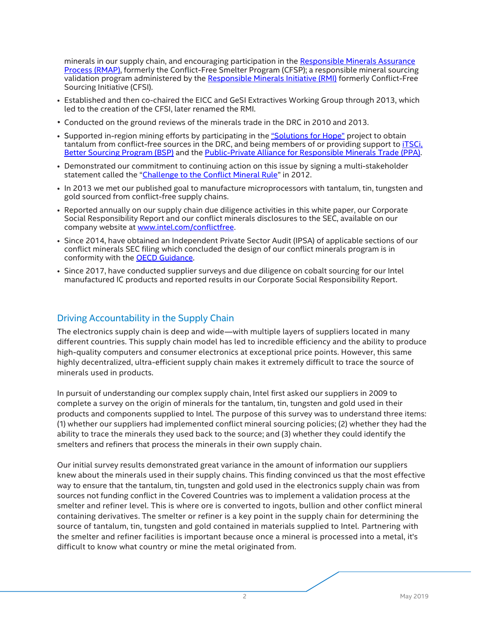minerals in our supply chain, and encouraging participation in the Responsible Minerals Assurance [Process \(RMAP\),](http://www.responsiblemineralsinitiative.org/responsible-minerals-assurance-process/) formerly the Conflict-Free Smelter Program (CFSP); a responsible mineral sourcing validation program administered by the [Responsible Minerals Initiative \(RMI\)](http://www.responsiblemineralsinitiative.org/) formerly Conflict-Free Sourcing Initiative (CFSI).

- Established and then co-chaired the EICC and GeSI Extractives Working Group through 2013, which led to the creation of the CFSI, later renamed the RMI.
- Conducted on the ground reviews of the minerals trade in the DRC in 2010 and 2013.
- Supported in-region mining efforts by participating in the ["Solutions for Hope"](http://solutions-network.org/site-solutionsforhope/) project to obtain tantalum from conflict-free sources in the DRC, and being members of or providing support to [iTSCi,](http://www.itsci.org/)  [Better Sourcing Program \(BSP\)](https://bettersourcing.io/) and the [Public-Private Alliance for Responsible Minerals Trade](http://www.resolv.org/site-ppa/) (PPA).
- Demonstrated our commitment to continuing action on this issue by signing a multi-stakeholder statement called the "[Challenge to the Conflict Mineral Rule](https://www.sourcingnetwork.org/blog/2012/11/20/msg-statement-on-the-challenge-to-conflict-minerals-rule.html)" in 2012.
- In 2013 we met our published goal to manufacture microprocessors with tantalum, tin, tungsten and gold sourced from conflict-free supply chains.
- Reported annually on our supply chain due diligence activities in this white paper, our Corporate Social Responsibility Report and our conflict minerals disclosures to the SEC, available on our company website at [www.intel.com/conflictfree.](http://www.intel.com/conflictfree)
- Since 2014, have obtained an Independent Private Sector Audit (IPSA) of applicable sections of our conflict minerals SEC filing which concluded the design of our conflict minerals program is in conformity with the OECD Guidance.
- Since 2017, have conducted supplier surveys and due diligence on cobalt sourcing for our Intel manufactured IC products and reported results in our Corporate Social Responsibility Report.

#### Driving Accountability in the Supply Chain

The electronics supply chain is deep and wide—with multiple layers of suppliers located in many different countries. This supply chain model has led to incredible efficiency and the ability to produce high-quality computers and consumer electronics at exceptional price points. However, this same highly decentralized, ultra-efficient supply chain makes it extremely difficult to trace the source of minerals used in products.

In pursuit of understanding our complex supply chain, Intel first asked our suppliers in 2009 to complete a survey on the origin of minerals for the tantalum, tin, tungsten and gold used in their products and components supplied to Intel. The purpose of this survey was to understand three items: (1) whether our suppliers had implemented conflict mineral sourcing policies; (2) whether they had the ability to trace the minerals they used back to the source; and (3) whether they could identify the smelters and refiners that process the minerals in their own supply chain.

Our initial survey results demonstrated great variance in the amount of information our suppliers knew about the minerals used in their supply chains. This finding convinced us that the most effective way to ensure that the tantalum, tin, tungsten and gold used in the electronics supply chain was from sources not funding conflict in the Covered Countries was to implement a validation process at the smelter and refiner level. This is where ore is converted to ingots, bullion and other conflict mineral containing derivatives. The smelter or refiner is a key point in the supply chain for determining the source of tantalum, tin, tungsten and gold contained in materials supplied to Intel. Partnering with the smelter and refiner facilities is important because once a mineral is processed into a metal, it's difficult to know what country or mine the metal originated from.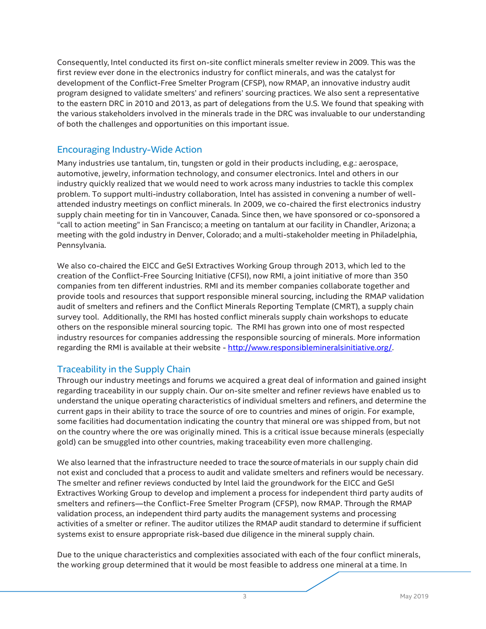Consequently, Intel conducted its first on-site conflict minerals smelter review in 2009. This was the first review ever done in the electronics industry for conflict minerals, and was the catalyst for development of the Conflict-Free Smelter Program (CFSP), now RMAP, an innovative industry audit program designed to validate smelters' and refiners' sourcing practices. We also sent a representative to the eastern DRC in 2010 and 2013, as part of delegations from the U.S. We found that speaking with the various stakeholders involved in the minerals trade in the DRC was invaluable to our understanding of both the challenges and opportunities on this important issue.

# Encouraging Industry-Wide Action

Many industries use tantalum, tin, tungsten or gold in their products including, e.g.: aerospace, automotive, jewelry, information technology, and consumer electronics. Intel and others in our industry quickly realized that we would need to work across many industries to tackle this complex problem. To support multi-industry collaboration, Intel has assisted in convening a number of wellattended industry meetings on conflict minerals. In 2009, we co-chaired the first electronics industry supply chain meeting for tin in Vancouver, Canada. Since then, we have sponsored or co-sponsored a "call to action meeting" in San Francisco; a meeting on tantalum at our facility in Chandler, Arizona; a meeting with the gold industry in Denver, Colorado; and a multi-stakeholder meeting in Philadelphia, Pennsylvania.

We also co-chaired the EICC and GeSI Extractives Working Group through 2013, which led to the creation of the Conflict-Free Sourcing Initiative (CFSI), now RMI, a joint initiative of more than 350 companies from ten different industries. RMI and its member companies collaborate together and provide tools and resources that support responsible mineral sourcing, including the RMAP validation audit of smelters and refiners and the Conflict Minerals Reporting Template (CMRT), a supply chain survey tool. Additionally, the RMI has hosted conflict minerals supply chain workshops to educate others on the responsible mineral sourcing topic. The RMI has grown into one of most respected industry resources for companies addressing the responsible sourcing of minerals. More information regarding the RMI is available at their website - [http://www.responsiblemineralsinitiative.org/.](http://www.responsiblemineralsinitiative.org/)

#### Traceability in the Supply Chain

Through our industry meetings and forums we acquired a great deal of information and gained insight regarding traceability in our supply chain. Our on-site smelter and refiner reviews have enabled us to understand the unique operating characteristics of individual smelters and refiners, and determine the current gaps in their ability to trace the source of ore to countries and mines of origin. For example, some facilities had documentation indicating the country that mineral ore was shipped from, but not on the country where the ore was originally mined. This is a critical issue because minerals (especially gold) can be smuggled into other countries, making traceability even more challenging.

We also learned that the infrastructure needed to trace the source of materials in our supply chain did not exist and concluded that a process to audit and validate smelters and refiners would be necessary. The smelter and refiner reviews conducted by Intel laid the groundwork for the EICC and GeSI Extractives Working Group to develop and implement a process for independent third party audits of smelters and refiners—the Conflict-Free Smelter Program (CFSP), now RMAP. Through the RMAP validation process, an independent third party audits the management systems and processing activities of a smelter or refiner. The auditor utilizes the RMAP audit standard to determine if sufficient systems exist to ensure appropriate risk-based due diligence in the mineral supply chain.

Due to the unique characteristics and complexities associated with each of the four conflict minerals, the working group determined that it would be most feasible to address one mineral at a time. In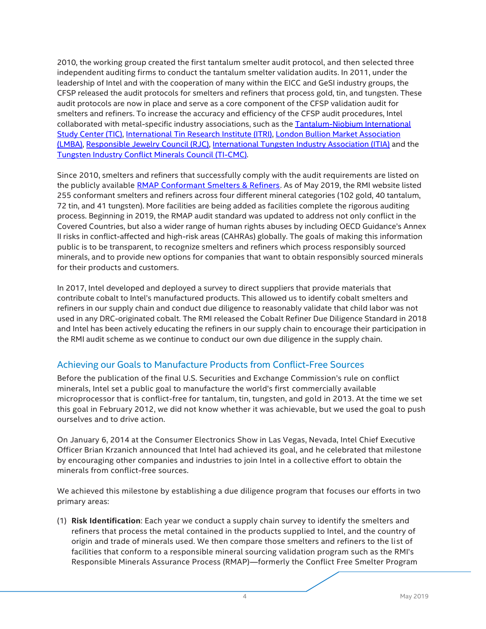2010, the working group created the first tantalum smelter audit protocol, and then selected three independent auditing firms to conduct the tantalum smelter validation audits. In 2011, under the leadership of Intel and with the cooperation of many within the EICC and GeSI industry groups, the CFSP released the audit protocols for smelters and refiners that process gold, tin, and tungsten. These audit protocols are now in place and serve as a core component of the CFSP validation audit for smelters and refiners. To increase the accuracy and efficiency of the CFSP audit procedures, Intel collaborated with metal-specific industry associations, such as the [Tantalum-Niobium International](http://tanb.org/)  [Study Center \(TIC\),](http://tanb.org/) International [Tin Research Institute \(ITRI\),](https://www.itri.co.uk/) [London Bullion Market Association](http://www.lbma.org.uk/)  [\(LMBA\),](http://www.lbma.org.uk/) [Responsible Jewelry Council \(RJC\),](http://www.responsiblejewellery.com/) [International Tungsten Industry Association \(ITIA\)](http://www.itia.info/) and the [Tungsten Industry Conflict Minerals Council \(TI-CMC\).](http://www.ti-cmc.org/)

Since 2010, smelters and refiners that successfully comply with the audit requirements are listed on the publicly available [RMAP Conformant Smelters & Refiners.](http://www.responsiblemineralsinitiative.org/conformant-smelter-refiner-lists/) As of May 2019, the RMI website listed 255 conformant smelters and refiners across four different mineral categories (102 gold, 40 tantalum, 72 tin, and 41 tungsten). More facilities are being added as facilities complete the rigorous auditing process. Beginning in 2019, the RMAP audit standard was updated to address not only conflict in the Covered Countries, but also a wider range of human rights abuses by including OECD Guidance's Annex II risks in conflict-affected and high-risk areas (CAHRAs) globally. The goals of making this information public is to be transparent, to recognize smelters and refiners which process responsibly sourced minerals, and to provide new options for companies that want to obtain responsibly sourced minerals for their products and customers.

In 2017, Intel developed and deployed a survey to direct suppliers that provide materials that contribute cobalt to Intel's manufactured products. This allowed us to identify cobalt smelters and refiners in our supply chain and conduct due diligence to reasonably validate that child labor was not used in any DRC-originated cobalt. The RMI released the Cobalt Refiner Due Diligence Standard in 2018 and Intel has been actively educating the refiners in our supply chain to encourage their participation in the RMI audit scheme as we continue to conduct our own due diligence in the supply chain.

# Achieving our Goals to Manufacture Products from Conflict-Free Sources

Before the publication of the final U.S. Securities and Exchange Commission's rule on conflict minerals, Intel set a public goal to manufacture the world's first commercially available microprocessor that is conflict-free for tantalum, tin, tungsten, and gold in 2013. At the time we set this goal in February 2012, we did not know whether it was achievable, but we used the goal to push ourselves and to drive action.

On January 6, 2014 at the Consumer Electronics Show in Las Vegas, Nevada, Intel Chief Executive Officer Brian Krzanich announced that Intel had achieved its goal, and he celebrated that milestone by encouraging other companies and industries to join Intel in a collective effort to obtain the minerals from conflict-free sources.

We achieved this milestone by establishing a due diligence program that focuses our efforts in two primary areas:

(1) **Risk Identification**: Each year we conduct a supply chain survey to identify the smelters and refiners that process the metal contained in the products supplied to Intel, and the country of origin and trade of minerals used. We then compare those smelters and refiners to the list of facilities that conform to a responsible mineral sourcing validation program such as the RMI's Responsible Minerals Assurance Process (RMAP)—formerly the Conflict Free Smelter Program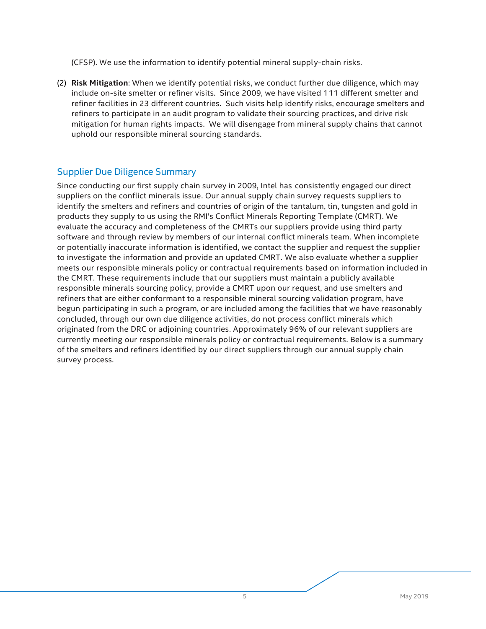(CFSP). We use the information to identify potential mineral supply-chain risks.

(2) **Risk Mitigation**: When we identify potential risks, we conduct further due diligence, which may include on-site smelter or refiner visits. Since 2009, we have visited 111 different smelter and refiner facilities in 23 different countries. Such visits help identify risks, encourage smelters and refiners to participate in an audit program to validate their sourcing practices, and drive risk mitigation for human rights impacts. We will disengage from mineral supply chains that cannot uphold our responsible mineral sourcing standards.

## Supplier Due Diligence Summary

Since conducting our first supply chain survey in 2009, Intel has consistently engaged our direct suppliers on the conflict minerals issue. Our annual supply chain survey requests suppliers to identify the smelters and refiners and countries of origin of the tantalum, tin, tungsten and gold in products they supply to us using the RMI's Conflict Minerals Reporting Template (CMRT). We evaluate the accuracy and completeness of the CMRTs our suppliers provide using third party software and through review by members of our internal conflict minerals team. When incomplete or potentially inaccurate information is identified, we contact the supplier and request the supplier to investigate the information and provide an updated CMRT. We also evaluate whether a supplier meets our responsible minerals policy or contractual requirements based on information included in the CMRT. These requirements include that our suppliers must maintain a publicly available responsible minerals sourcing policy, provide a CMRT upon our request, and use smelters and refiners that are either conformant to a responsible mineral sourcing validation program, have begun participating in such a program, or are included among the facilities that we have reasonably concluded, through our own due diligence activities, do not process conflict minerals which originated from the DRC or adjoining countries. Approximately 96% of our relevant suppliers are currently meeting our responsible minerals policy or contractual requirements. Below is a summary of the smelters and refiners identified by our direct suppliers through our annual supply chain survey process.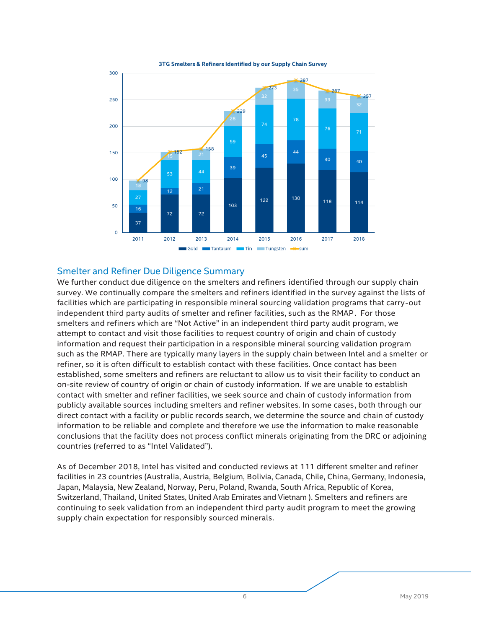

3TG Smelters & Refiners Identified by our Supply Chain Survey

#### Smelter and Refiner Due Diligence Summary

We further conduct due diligence on the smelters and refiners identified through our supply chain survey. We continually compare the smelters and refiners identified in the survey against the lists of facilities which are participating in responsible mineral sourcing validation programs that carry-out independent third party audits of smelter and refiner facilities, such as the RMAP. For those smelters and refiners which are "Not Active" in an independent third party audit program, we attempt to contact and visit those facilities to request country of origin and chain of custody information and request their participation in a responsible mineral sourcing validation program such as the RMAP. There are typically many layers in the supply chain between Intel and a smelter or refiner, so it is often difficult to establish contact with these facilities. Once contact has been established, some smelters and refiners are reluctant to allow us to visit their facility to conduct an on-site review of country of origin or chain of custody information. If we are unable to establish contact with smelter and refiner facilities, we seek source and chain of custody information from publicly available sources including smelters and refiner websites. In some cases, both through our direct contact with a facility or public records search, we determine the source and chain of custody information to be reliable and complete and therefore we use the information to make reasonable conclusions that the facility does not process conflict minerals originating from the DRC or adjoining countries (referred to as "Intel Validated").

As of December 2018, Intel has visited and conducted reviews at 111 different smelter and refiner facilities in 23 countries (Australia, Austria, Belgium, Bolivia, Canada, Chile, China, Germany, Indonesia, Japan, Malaysia, New Zealand, Norway, Peru, Poland, Rwanda, South Africa, Republic of Korea, Switzerland, Thailand, United States, United Arab Emirates and Vietnam ). Smelters and refiners are continuing to seek validation from an independent third party audit program to meet the growing supply chain expectation for responsibly sourced minerals.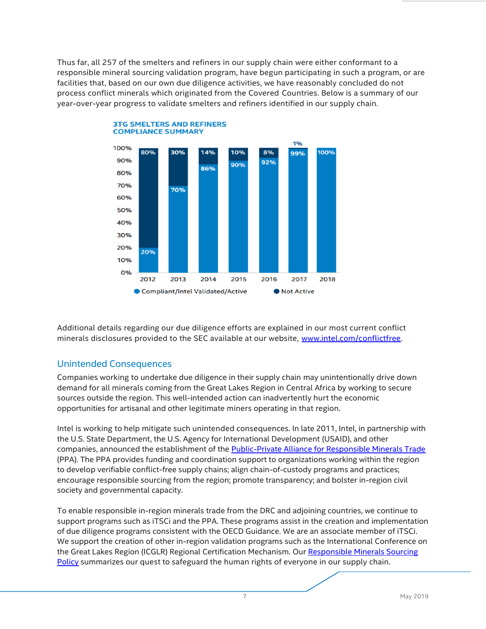Thus far, all 257 of the smelters and refiners in our supply chain were either conformant to a responsible mineral sourcing validation program, have begun participating in such a program, or are facilities that, based on our own due diligence activities, we have reasonably concluded do not process conflict minerals which originated from the Covered Countries. Below is a summary of our year-over-year progress to validate smelters and refiners identified in our supply chain.





# Unintended Consequences

Companies working to undertake due diligence in their supply chain may unintentionally drive down demand for all minerals coming from the Great Lakes Region in Central Africa by working to secure sources outside the region. This well-intended action can inadvertently hurt the economic opportunities for artisanal and other legitimate miners operating in that region.

Intel is working to help mitigate such unintended consequences. In late 2011, Intel, in partnership with the U.S. State Department, the U.S. Agency for International Development (USAID), and other companies, announced the establishment of th[e Public-Private Alliance for Responsible Minerals Trade](http://www.resolv.org/site-ppa/) (PPA). The PPA provides funding and coordination support to organizations working within the region to develop verifiable conflict-free supply chains; align chain-of-custody programs and practices; encourage responsible sourcing from the region; promote transparency; and bolster in-region civil society and governmental capacity.

To enable responsible in-region minerals trade from the DRC and adjoining countries, we continue to support programs such as iTSCi and the PPA. These programs assist in the creation and implementation of due diligence programs consistent with the OECD Guidance. We are an associate member of iTSCi. We support the creation of other in-region validation programs such as the International Conference on the Great Lakes Region (ICGLR) Regional Certification Mechanism. Our Responsible [Minerals Sourcing](http://www.intel.com/content/www/us/en/policy/policy-conflict-minerals.html)  [Policy](http://www.intel.com/content/www/us/en/policy/policy-conflict-minerals.html) summarizes our quest to safeguard the human rights of everyone in our supply chain.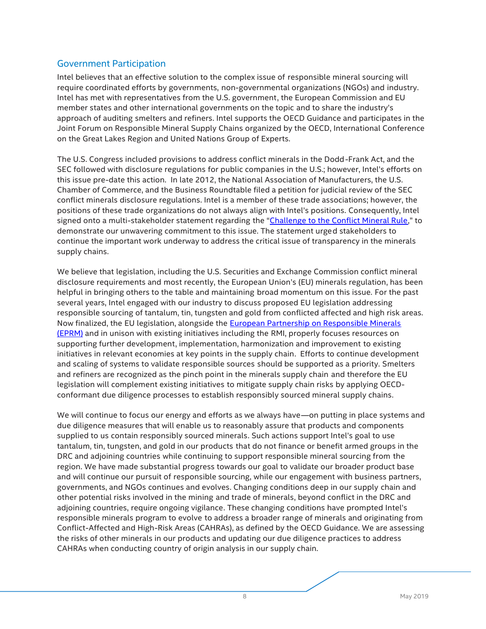## Government Participation

Intel believes that an effective solution to the complex issue of responsible mineral sourcing will require coordinated efforts by governments, non-governmental organizations (NGOs) and industry. Intel has met with representatives from the U.S. government, the European Commission and EU member states and other international governments on the topic and to share the industry's approach of auditing smelters and refiners. Intel supports the OECD Guidance and participates in the Joint Forum on Responsible Mineral Supply Chains organized by the OECD, International Conference on the Great Lakes Region and United Nations Group of Experts.

The U.S. Congress included provisions to address conflict minerals in the Dodd-Frank Act, and the SEC followed with disclosure regulations for public companies in the U.S.; however, Intel's efforts on this issue pre-date this action. In late 2012, the National Association of Manufacturers, the U.S. Chamber of Commerce, and the Business Roundtable filed a petition for judicial review of the SEC conflict minerals disclosure regulations. Intel is a member of these trade associations; however, the positions of these trade organizations do not always align with Intel's positions. Consequently, Intel signed onto a multi-stakeholder statement regarding the "[Challenge to the Conflict Mineral Rule](http://www.sourcingnetwork.org/blog/2012/11/20/msg-statement-on-the-challenge-to-conflict-minerals-rule.html)," to demonstrate our unwavering commitment to this issue. The statement urged stakeholders to continue the important work underway to address the critical issue of transparency in the minerals supply chains.

We believe that legislation, including the U.S. Securities and Exchange Commission conflict mineral disclosure requirements and most recently, the European Union's (EU) minerals regulation, has been helpful in bringing others to the table and maintaining broad momentum on this issue. For the past several years, Intel engaged with our industry to discuss proposed EU legislation addressing responsible sourcing of tantalum, tin, tungsten and gold from conflicted affected and high risk areas. Now finalized, the EU legislation, alongside the [European Partnership on Responsible Minerals](https://europeanpartnership-responsibleminerals.eu/)  [\(EPRM\)](https://europeanpartnership-responsibleminerals.eu/) and in unison with existing initiatives including the RMI, properly focuses resources on supporting further development, implementation, harmonization and improvement to existing initiatives in relevant economies at key points in the supply chain. Efforts to continue development and scaling of systems to validate responsible sources should be supported as a priority. Smelters and refiners are recognized as the pinch point in the minerals supply chain and therefore the EU legislation will complement existing initiatives to mitigate supply chain risks by applying OECDconformant due diligence processes to establish responsibly sourced mineral supply chains.

We will continue to focus our energy and efforts as we always have—on putting in place systems and due diligence measures that will enable us to reasonably assure that products and components supplied to us contain responsibly sourced minerals. Such actions support Intel's goal to use tantalum, tin, tungsten, and gold in our products that do not finance or benefit armed groups in the DRC and adjoining countries while continuing to support responsible mineral sourcing from the region. We have made substantial progress towards our goal to validate our broader product base and will continue our pursuit of responsible sourcing, while our engagement with business partners, governments, and NGOs continues and evolves. Changing conditions deep in our supply chain and other potential risks involved in the mining and trade of minerals, beyond conflict in the DRC and adjoining countries, require ongoing vigilance. These changing conditions have prompted Intel's responsible minerals program to evolve to address a broader range of minerals and originating from Conflict-Affected and High-Risk Areas (CAHRAs), as defined by the OECD Guidance. We are assessing the risks of other minerals in our products and updating our due diligence practices to address CAHRAs when conducting country of origin analysis in our supply chain.